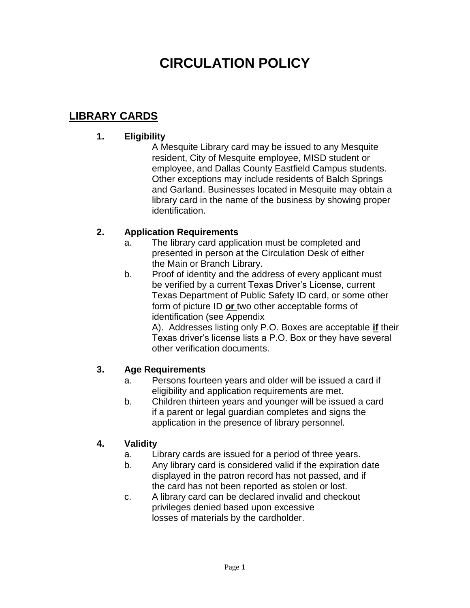## **LIBRARY CARDS**

### **1. Eligibility**

A Mesquite Library card may be issued to any Mesquite resident, City of Mesquite employee, MISD student or employee, and Dallas County Eastfield Campus students. Other exceptions may include residents of Balch Springs and Garland. Businesses located in Mesquite may obtain a library card in the name of the business by showing proper identification.

### **2. Application Requirements**

- a. The library card application must be completed and presented in person at the Circulation Desk of either the Main or Branch Library.
- b. Proof of identity and the address of every applicant must be verified by a current Texas Driver's License, current Texas Department of Public Safety ID card, or some other form of picture ID **or** two other acceptable forms of identification (see Appendix

A). Addresses listing only P.O. Boxes are acceptable **if** their Texas driver's license lists a P.O. Box or they have several other verification documents.

### **3. Age Requirements**

- a. Persons fourteen years and older will be issued a card if eligibility and application requirements are met.
- b. Children thirteen years and younger will be issued a card if a parent or legal guardian completes and signs the application in the presence of library personnel.

## **4. Validity**

- a. Library cards are issued for a period of three years.
- b. Any library card is considered valid if the expiration date displayed in the patron record has not passed, and if the card has not been reported as stolen or lost.
- c. A library card can be declared invalid and checkout privileges denied based upon excessive losses of materials by the cardholder.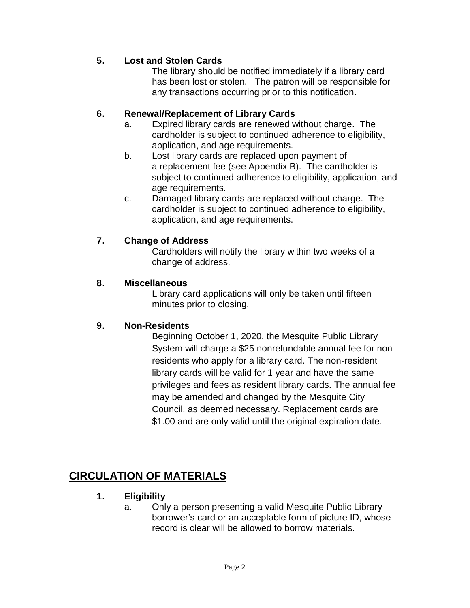## **5. Lost and Stolen Cards**

The library should be notified immediately if a library card has been lost or stolen. The patron will be responsible for any transactions occurring prior to this notification.

### **6. Renewal/Replacement of Library Cards**

- a. Expired library cards are renewed without charge. The cardholder is subject to continued adherence to eligibility, application, and age requirements.
- b. Lost library cards are replaced upon payment of a replacement fee (see Appendix B). The cardholder is subject to continued adherence to eligibility, application, and age requirements.
- c. Damaged library cards are replaced without charge. The cardholder is subject to continued adherence to eligibility, application, and age requirements.

### **7. Change of Address**

Cardholders will notify the library within two weeks of a change of address.

### **8. Miscellaneous**

Library card applications will only be taken until fifteen minutes prior to closing.

### **9. Non-Residents**

Beginning October 1, 2020, the Mesquite Public Library System will charge a \$25 nonrefundable annual fee for nonresidents who apply for a library card. The non-resident library cards will be valid for 1 year and have the same privileges and fees as resident library cards. The annual fee may be amended and changed by the Mesquite City Council, as deemed necessary. Replacement cards are \$1.00 and are only valid until the original expiration date.

## **CIRCULATION OF MATERIALS**

### **1. Eligibility**

a. Only a person presenting a valid Mesquite Public Library borrower's card or an acceptable form of picture ID, whose record is clear will be allowed to borrow materials.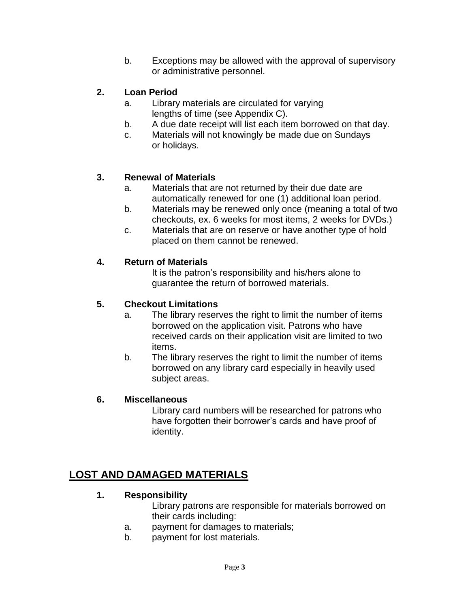b. Exceptions may be allowed with the approval of supervisory or administrative personnel.

## **2. Loan Period**

- a. Library materials are circulated for varying lengths of time (see Appendix C).
- b. A due date receipt will list each item borrowed on that day.
- c. Materials will not knowingly be made due on Sundays or holidays.

### **3. Renewal of Materials**

- a. Materials that are not returned by their due date are automatically renewed for one (1) additional loan period.
- b. Materials may be renewed only once (meaning a total of two checkouts, ex. 6 weeks for most items, 2 weeks for DVDs.)
- c. Materials that are on reserve or have another type of hold placed on them cannot be renewed.

### **4. Return of Materials**

It is the patron's responsibility and his/hers alone to guarantee the return of borrowed materials.

### **5. Checkout Limitations**

- a. The library reserves the right to limit the number of items borrowed on the application visit. Patrons who have received cards on their application visit are limited to two items.
- b. The library reserves the right to limit the number of items borrowed on any library card especially in heavily used subject areas.

### **6. Miscellaneous**

Library card numbers will be researched for patrons who have forgotten their borrower's cards and have proof of identity.

## **LOST AND DAMAGED MATERIALS**

### **1. Responsibility**

Library patrons are responsible for materials borrowed on their cards including:

- a. payment for damages to materials;
- b. payment for lost materials.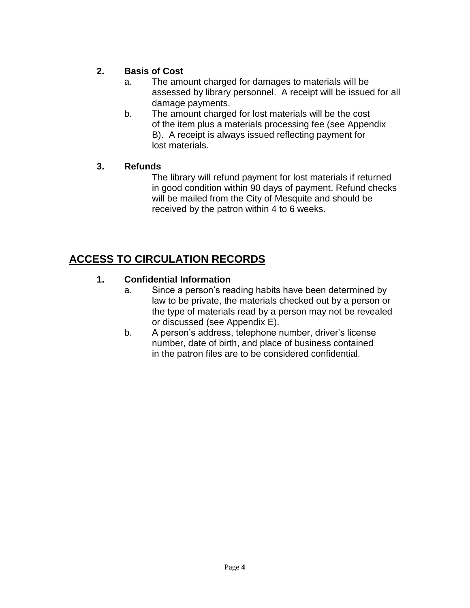## **2. Basis of Cost**

- a. The amount charged for damages to materials will be assessed by library personnel. A receipt will be issued for all damage payments.
- b. The amount charged for lost materials will be the cost of the item plus a materials processing fee (see Appendix B). A receipt is always issued reflecting payment for lost materials.

## **3. Refunds**

The library will refund payment for lost materials if returned in good condition within 90 days of payment. Refund checks will be mailed from the City of Mesquite and should be received by the patron within 4 to 6 weeks.

# **ACCESS TO CIRCULATION RECORDS**

## **1. Confidential Information**

- a. Since a person's reading habits have been determined by law to be private, the materials checked out by a person or the type of materials read by a person may not be revealed or discussed (see Appendix E).
- b. A person's address, telephone number, driver's license number, date of birth, and place of business contained in the patron files are to be considered confidential.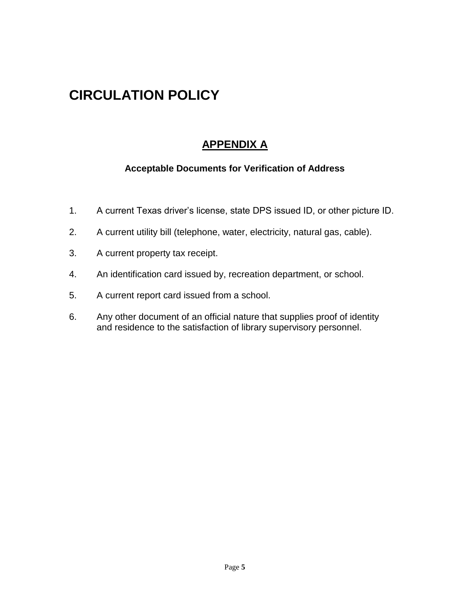## **APPENDIX A**

### **Acceptable Documents for Verification of Address**

- 1. A current Texas driver's license, state DPS issued ID, or other picture ID.
- 2. A current utility bill (telephone, water, electricity, natural gas, cable).
- 3. A current property tax receipt.
- 4. An identification card issued by, recreation department, or school.
- 5. A current report card issued from a school.
- 6. Any other document of an official nature that supplies proof of identity and residence to the satisfaction of library supervisory personnel.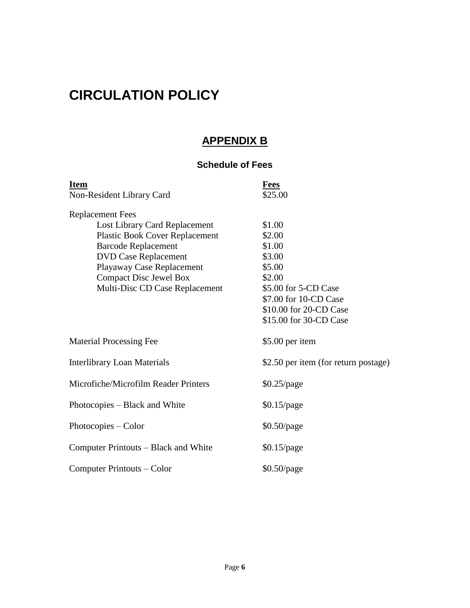## **APPENDIX B**

## **Schedule of Fees**

| <b>Item</b>                           | <b>Fees</b>                          |  |  |
|---------------------------------------|--------------------------------------|--|--|
| Non-Resident Library Card             | \$25.00                              |  |  |
| <b>Replacement Fees</b>               |                                      |  |  |
| Lost Library Card Replacement         | \$1.00                               |  |  |
| <b>Plastic Book Cover Replacement</b> | \$2.00                               |  |  |
| <b>Barcode Replacement</b>            | \$1.00                               |  |  |
| <b>DVD Case Replacement</b>           | \$3.00                               |  |  |
| Playaway Case Replacement             | \$5.00                               |  |  |
| <b>Compact Disc Jewel Box</b>         | \$2.00                               |  |  |
| Multi-Disc CD Case Replacement        | \$5.00 for 5-CD Case                 |  |  |
|                                       | \$7.00 for 10-CD Case                |  |  |
|                                       | \$10.00 for 20-CD Case               |  |  |
|                                       | \$15.00 for 30-CD Case               |  |  |
| <b>Material Processing Fee</b>        | \$5.00 per item                      |  |  |
| <b>Interlibrary Loan Materials</b>    | \$2.50 per item (for return postage) |  |  |
| Microfiche/Microfilm Reader Printers  | $$0.25$ /page                        |  |  |
| Photocopies – Black and White         | $$0.15$ /page                        |  |  |
| Photocopies - Color                   | $$0.50$ /page                        |  |  |
| Computer Printouts – Black and White  | $$0.15$ /page                        |  |  |
| Computer Printouts – Color            | \$0.50/page                          |  |  |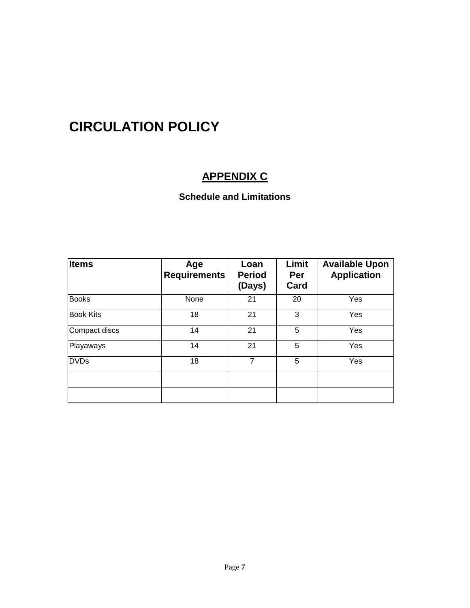# **APPENDIX C**

## **Schedule and Limitations**

| <b>Items</b>     | Age<br><b>Requirements</b> | Loan<br><b>Period</b><br>(Days) | Limit<br><b>Per</b><br>Card | <b>Available Upon</b><br><b>Application</b> |
|------------------|----------------------------|---------------------------------|-----------------------------|---------------------------------------------|
| <b>Books</b>     | None                       | 21                              | 20                          | Yes                                         |
| <b>Book Kits</b> | 18                         | 21                              | 3                           | Yes                                         |
| Compact discs    | 14                         | 21                              | 5                           | Yes                                         |
| Playaways        | 14                         | 21                              | 5                           | Yes                                         |
| <b>DVDs</b>      | 18                         | $\overline{7}$                  | 5                           | Yes                                         |
|                  |                            |                                 |                             |                                             |
|                  |                            |                                 |                             |                                             |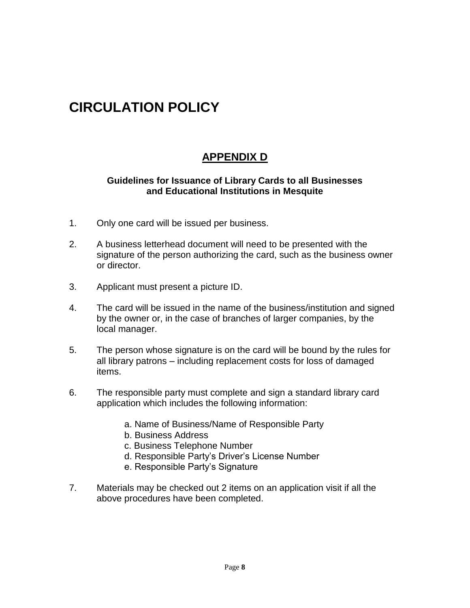## **APPENDIX D**

#### **Guidelines for Issuance of Library Cards to all Businesses and Educational Institutions in Mesquite**

- 1. Only one card will be issued per business.
- 2. A business letterhead document will need to be presented with the signature of the person authorizing the card, such as the business owner or director.
- 3. Applicant must present a picture ID.
- 4. The card will be issued in the name of the business/institution and signed by the owner or, in the case of branches of larger companies, by the local manager.
- 5. The person whose signature is on the card will be bound by the rules for all library patrons – including replacement costs for loss of damaged items.
- 6. The responsible party must complete and sign a standard library card application which includes the following information:
	- a. Name of Business/Name of Responsible Party
	- b. Business Address
	- c. Business Telephone Number
	- d. Responsible Party's Driver's License Number
	- e. Responsible Party's Signature
- 7. Materials may be checked out 2 items on an application visit if all the above procedures have been completed.